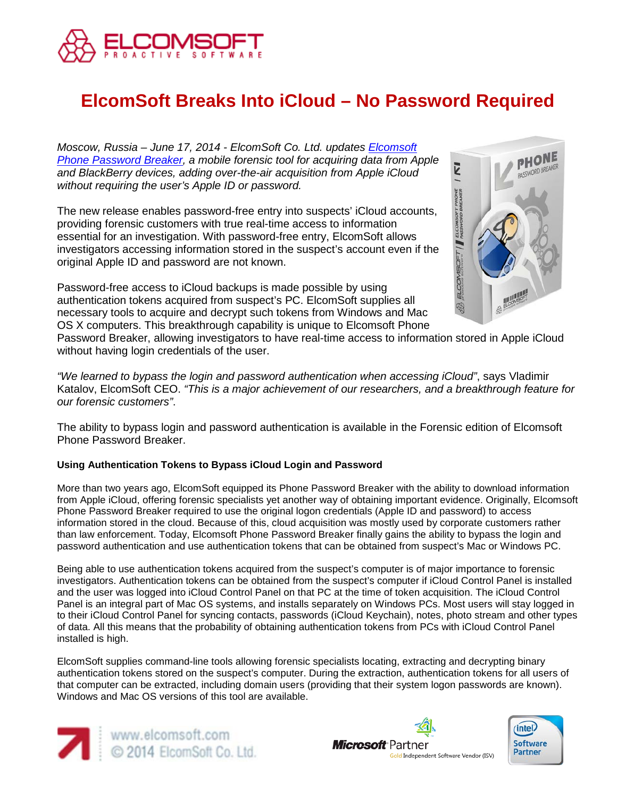

# **ElcomSoft Breaks Into iCloud – No Password Required**

*Moscow, Russia – June 17, 2014 - ElcomSoft Co. Ltd. updates [Elcomsoft](http://www.elcomsoft.com/eppb.html)  [Phone Password Breaker,](http://www.elcomsoft.com/eppb.html) a mobile forensic tool for acquiring data from Apple and BlackBerry devices, adding over-the-air acquisition from Apple iCloud without requiring the user's Apple ID or password.*

The new release enables password-free entry into suspects' iCloud accounts, providing forensic customers with true real-time access to information essential for an investigation. With password-free entry, ElcomSoft allows investigators accessing information stored in the suspect's account even if the original Apple ID and password are not known.

Password-free access to iCloud backups is made possible by using authentication tokens acquired from suspect's PC. ElcomSoft supplies all necessary tools to acquire and decrypt such tokens from Windows and Mac OS X computers. This breakthrough capability is unique to Elcomsoft Phone



Password Breaker, allowing investigators to have real-time access to information stored in Apple iCloud without having login credentials of the user.

*"We learned to bypass the login and password authentication when accessing iCloud"*, says Vladimir Katalov, ElcomSoft CEO. *"This is a major achievement of our researchers, and a breakthrough feature for our forensic customers"*.

The ability to bypass login and password authentication is available in the Forensic edition of Elcomsoft Phone Password Breaker.

## **Using Authentication Tokens to Bypass iCloud Login and Password**

More than two years ago, ElcomSoft equipped its Phone Password Breaker with the ability to download information from Apple iCloud, offering forensic specialists yet another way of obtaining important evidence. Originally, Elcomsoft Phone Password Breaker required to use the original logon credentials (Apple ID and password) to access information stored in the cloud. Because of this, cloud acquisition was mostly used by corporate customers rather than law enforcement. Today, Elcomsoft Phone Password Breaker finally gains the ability to bypass the login and password authentication and use authentication tokens that can be obtained from suspect's Mac or Windows PC.

Being able to use authentication tokens acquired from the suspect's computer is of major importance to forensic investigators. Authentication tokens can be obtained from the suspect's computer if iCloud Control Panel is installed and the user was logged into iCloud Control Panel on that PC at the time of token acquisition. The iCloud Control Panel is an integral part of Mac OS systems, and installs separately on Windows PCs. Most users will stay logged in to their iCloud Control Panel for syncing contacts, passwords (iCloud Keychain), notes, photo stream and other types of data. All this means that the probability of obtaining authentication tokens from PCs with iCloud Control Panel installed is high.

ElcomSoft supplies command-line tools allowing forensic specialists locating, extracting and decrypting binary authentication tokens stored on the suspect's computer. During the extraction, authentication tokens for all users of that computer can be extracted, including domain users (providing that their system logon passwords are known). Windows and Mac OS versions of this tool are available.